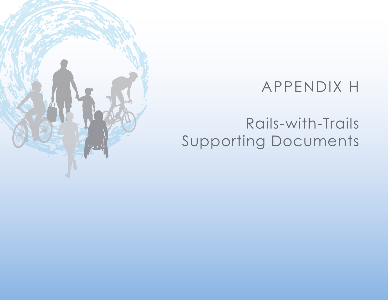## APPENDIX H

# Rails-with-Trails Supporting Documents

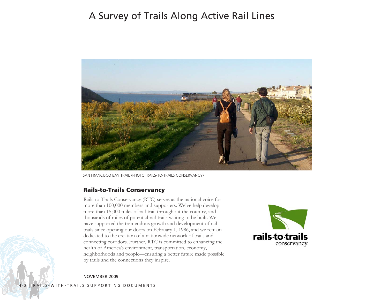### A Survey of Trails Along Active Rail Lines



SAN FRANCISCO BAY TRAIL (PHOTO: RAILS-TO-TRAILS CONSERVANCY)

#### Rails-to-Trails Conservancy

Rails-to-Trails Conservancy (RTC) serves as the national voice for more than 100,000 members and supporters. We've help develop more than 15,000 miles of rail-trail throughout the country, and thousands of miles of potential rail-trails waiting to be built. We have supported the tremendous growth and development of railtrails since opening our doors on February 1, 1986, and we remain dedicated to the creation of a nationwide network of trails and connecting corridors. Further, RTC is committed to enhancing the health of America's environment, transportation, economy, neighborhoods and people—ensuring a better future made possible by trails and the connections they inspire.



NOVEMBER 2009

H-2 | RAILS-WITH-TRAILS SUPPORTING DOCUMENTS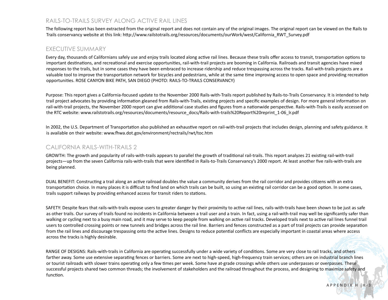#### RAILS-TO-TRAILS SURVEY ALONG ACTIVE RAIL LINES

The following report has been extracted from the original report and does not contain any of the original images. The original report can be viewed on the Rails to Trails conservancy website at this link: http://www.railstotrails.org/resources/documents/ourWork/west/California\_RWT\_Survey.pdf

#### EXECUTIVE SUMMARY

Every day, thousands of Californians safely use and enjoy trails located along active rail lines. Because these trails offer access to transit, transportation options to important destinations, and recreational and exercise opportunities, rail-with-trail projects are booming in California. Railroads and transit agencies have mixed responses to the trails, but in some cases they have been embraced to increase ridership and reduce trespassing across the tracks. Rail-with-trails projects are a valuable tool to improve the transportation network for bicycles and pedestrians, while at the same time improving access to open space and providing recreation opportunities. ROSE CANYON BIKE PATH, SAN DIEGO (PHOTO: RAILS-TO-TRAILS CONSERVANCY)

Purpose: This report gives a California-focused update to the November 2000 Rails-with-Trails report published by Rails-to-Trails Conservancy. It is intended to help trail project advocates by providing information gleaned from Rails-with-Trails, existing projects and specific examples of design. For more general information on rail-with-trail projects, the November 2000 report can give additional case studies and figures from a nationwide perspective. Rails-with-Trails is easily accessed on the RTC website: www.railstotrails.org/resources/documents/resource\_docs/Rails-with-trails%20Report%20reprint\_1-06\_lr.pdf

In 2002, the U.S. Department of Transportation also published an exhaustive report on rail-with-trail projects that includes design, planning and safety guidance. It is available on their website: www.fhwa.dot.gov/environment/rectrails/rwt/toc.htm

#### CALIFORNIA RAILS-WITH-TRAILS 2

GROWTH: The growth and popularity of rails-with-trails appears to parallel the growth of traditional rail-trails. This report analyzes 21 existing rail-with-trail projects—up from the seven California rails-with-trails that were identified in Rails-to-Trails Conservancy's 2000 report. At least another five rails-with-trails are being planned.

DUAL BENEFIT: Constructing a trail along an active railroad doubles the value a community derives from the rail corridor and provides citizens with an extra transportation choice. In many places it is difficult to find land on which trails can be built, so using an existing rail corridor can be a good option. In some cases, trails support railways by providing enhanced access for transit riders to stations.

SAFETY: Despite fears that rails-with-trails expose users to greater danger by their proximity to active rail lines, rails-with-trails have been shown to be just as safe as other trails. Our survey of trails found no incidents in California between a trail user and a train. In fact, using a rail-with-trail may well be significantly safer than walking or cycling next to a busy main road, and it may serve to keep people from walking on active rail tracks. Developed trails next to active rail lines funnel trail users to controlled crossing points or new tunnels and bridges across the rail line. Barriers and fences constructed as a part of trail projects can provide separation from the rail lines and discourage trespassing onto the active lines. Designs to reduce potential conflicts are especially important in coastal areas where access across the tracks is highly desirable.

RANGE OF DESIGNS: Rails-with-trails in California are operating successfully under a wide variety of conditions. Some are very close to rail tracks, and others farther away. Some use extensive separating fences or barriers. Some are next to high-speed, high-frequency train services; others are on industrial branch lines or tourist railroads with slower trains operating only a few times per week. Some have at-grade crossings while others use underpasses or overpasses. These successful projects shared two common threads; the involvement of stakeholders and the railroad throughout the process, and designing to maximize safety and function.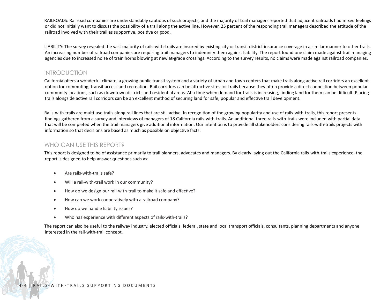RAILROADS: Railroad companies are understandably cautious of such projects, and the majority of trail managers reported that adjacent railroads had mixed feelings or did not initially want to discuss the possibility of a trail along the active line. However, 25 percent of the responding trail managers described the attitude of the railroad involved with their trail as supportive, positive or good.

LIABILITY: The survey revealed the vast majority of rails-with-trails are insured by existing city or transit district insurance coverage in a similar manner to other trails. An increasing number of railroad companies are requiring trail managers to indemnify them against liability. The report found one claim made against trail managing agencies due to increased noise of train horns blowing at new at-grade crossings. According to the survey results, no claims were made against railroad companies.

#### INTRODUCTION

California offers a wonderful climate, a growing public transit system and a variety of urban and town centers that make trails along active rail corridors an excellent option for commuting, transit access and recreation. Rail corridors can be attractive sites for trails because they often provide a direct connection between popular community locations, such as downtown districts and residential areas. At a time when demand for trails is increasing, finding land for them can be difficult. Placing trails alongside active rail corridors can be an excellent method of securing land for safe, popular and effective trail development.

Rails-with-trails are multi-use trails along rail lines that are still active. In recognition of the growing popularity and use of rails-with-trails, this report presents findings gathered from a survey and interviews of managers of 18 California rails-with-trails. An additional three rails-with-trails were included with partial data that will be completed when the trail managers give additional information. Our intention is to provide all stakeholders considering rails-with-trails projects with information so that decisions are based as much as possible on objective facts.

#### WHO CAN USE THIS REPORT?

This report is designed to be of assistance primarily to trail planners, advocates and managers. By clearly laying out the California rails-with-trails experience, the report is designed to help answer questions such as:

- Are rails-with-trails safe?
- Will a rail-with-trail work in our community?
- How do we design our rail-with-trail to make it safe and effective?
- How can we work cooperatively with a railroad company?
- How do we handle liability issues?
- Who has experience with different aspects of rails-with-trails?

The report can also be useful to the railway industry, elected officials, federal, state and local transport officials, consultants, planning departments and anyone interested in the rail-with-trail concept.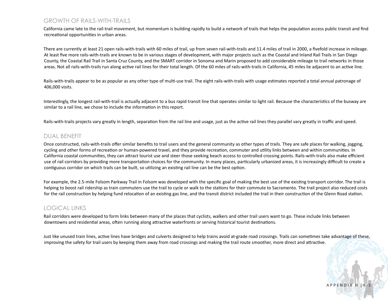#### GROWTH OF RAILS-WITH-TRAILS

California came late to the rail-trail movement, but momentum is building rapidly to build a network of trails that helps the population access public transit and find recreational opportunities in urban areas.

There are currently at least 21 open rails-with-trails with 60 miles of trail, up from seven rail-with-trails and 11.4 miles of trail in 2000, a fivefold increase in mileage. At least five more rails-with-trails are known to be in various stages of development, with major projects such as the Coastal and Inland Rail Trails in San Diego County, the Coastal Rail Trail in Santa Cruz County, and the SMART corridor in Sonoma and Marin proposed to add considerable mileage to trail networks in those areas. Not all rails-with-trails run along active rail lines for their total length. Of the 60 miles of rails-with-trails in California, 45 miles lie adjacent to an active line.

Rails-with-trails appear to be as popular as any other type of multi-use trail. The eight rails-with-trails with usage estimates reported a total annual patronage of 406,000 visits.

Interestingly, the longest rail-with-trail is actually adjacent to a bus rapid transit line that operates similar to light rail. Because the characteristics of the busway are similar to a rail line, we chose to include the information in this report.

Rails-with-trails projects vary greatly in length, separation from the rail line and usage, just as the active rail lines they parallel vary greatly in traffic and speed.

#### DUAL BENEFIT

Once constructed, rails-with-trails offer similar benefits to trail users and the general community as other types of trails. They are safe places for walking, jogging, cycling and other forms of recreation or human-powered travel, and they provide recreation, commuter and utility links between and within communities. In California coastal communities, they can attract tourist use and steer those seeking beach access to controlled crossing points. Rails-with-trails also make efficient use of rail corridors by providing more transportation choices for the community. In many places, particularly urbanized areas, it is increasingly difficult to create a contiguous corridor on which trails can be built, so utilizing an existing rail line can be the best option.

For example, the 2.5-mile Folsom Parkway Trail in Folsom was developed with the specific goal of making the best use of the existing transport corridor. The trail is helping to boost rail ridership as train commuters use the trail to cycle or walk to the stations for their commute to Sacramento. The trail project also reduced costs for the rail construction by helping fund relocation of an existing gas line, and the transit district included the trail in their construction of the Glenn Road station.

#### LOGICAL LINKS

Rail corridors were developed to form links between many of the places that cyclists, walkers and other trail users want to go. These include links between downtowns and residential areas, often running along attractive waterfronts or serving historical tourist destinations.

Just like unused train lines, active lines have bridges and culverts designed to help trains avoid at-grade road crossings. Trails can sometimes take advantage of these, improving the safety for trail users by keeping them away from road crossings and making the trail route smoother, more direct and attractive.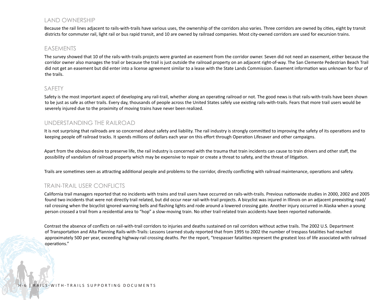#### LAND OWNERSHIP

Because the rail lines adjacent to rails-with-trails have various uses, the ownership of the corridors also varies. Three corridors are owned by cities, eight by transit districts for commuter rail, light rail or bus rapid transit, and 10 are owned by railroad companies. Most city-owned corridors are used for excursion trains.

#### EASEMENTS

The survey showed that 10 of the rails-with-trails projects were granted an easement from the corridor owner. Seven did not need an easement, either because the corridor owner also manages the trail or because the trail is just outside the railroad property on an adjacent right-of-way. The San Clemente Pedestrian Beach Trail did not get an easement but did enter into a license agreement similar to a lease with the State Lands Commission. Easement information was unknown for four of the trails.

#### SAFETY

Safety is the most important aspect of developing any rail-trail, whether along an operating railroad or not. The good news is that rails-with-trails have been shown to be just as safe as other trails. Every day, thousands of people across the United States safely use existing rails-with-trails. Fears that more trail users would be severely injured due to the proximity of moving trains have never been realized.

#### UNDERSTANDING THE RAILROAD

It is not surprising that railroads are so concerned about safety and liability. The rail industry is strongly committed to improving the safety of its operations and to keeping people off railroad tracks. It spends millions of dollars each year on this effort through Operation Lifesaver and other campaigns.

Apart from the obvious desire to preserve life, the rail industry is concerned with the trauma that train incidents can cause to train drivers and other staff, the possibility of vandalism of railroad property which may be expensive to repair or create a threat to safety, and the threat of litigation.

Trails are sometimes seen as attracting additional people and problems to the corridor, directly conflicting with railroad maintenance, operations and safety.

#### TRAIN-TRAIL USER CONFLICTS

California trail managers reported that no incidents with trains and trail users have occurred on rails-with-trails. Previous nationwide studies in 2000, 2002 and 2005 found two incidents that were not directly trail related, but did occur near rail-with-trail projects. A bicyclist was injured in Illinois on an adjacent preexisting road/ rail crossing when the bicyclist ignored warning bells and flashing lights and rode around a lowered crossing gate. Another injury occurred in Alaska when a young person crossed a trail from a residential area to "hop" a slow-moving train. No other trail-related train accidents have been reported nationwide.

Contrast the absence of conflicts on rail-with-trail corridors to injuries and deaths sustained on rail corridors without active trails. The 2002 U.S. Department of Transportation and Alta Planning Rails-with-Trails: Lessons Learned study reported that from 1995 to 2002 the number of trespass fatalities had reached approximately 500 per year, exceeding highway-rail crossing deaths. Per the report, "trespasser fatalities represent the greatest loss of life associated with railroad operations."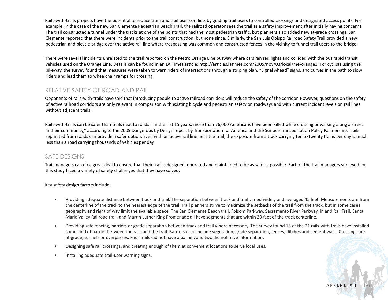Rails-with-trails projects have the potential to reduce train and trail user conflicts by guiding trail users to controlled crossings and designated access points. For example, in the case of the new San Clemente Pedestrian Beach Trail, the railroad operator sees the trail as a safety improvement after initially having concerns. The trail constructed a tunnel under the tracks at one of the points that had the most pedestrian traffic, but planners also added new at-grade crossings. San Clemente reported that there were incidents prior to the trail construction, but none since. Similarly, the San Luis Obispo Railroad Safety Trail provided a new pedestrian and bicycle bridge over the active rail line where trespassing was common and constructed fences in the vicinity to funnel trail users to the bridge.

There were several incidents unrelated to the trail reported on the Metro Orange Line busway where cars ran red lights and collided with the bus rapid transit vehicles used on the Orange Line. Details can be found in an LA Times article: http://articles.latimes.com/2005/nov/03/local/me-orange3. For cyclists using the bikeway, the survey found that measures were taken to warn riders of intersections through a striping plan, "Signal Ahead" signs, and curves in the path to slow riders and lead them to wheelchair ramps for crossing.

#### RELATIVE SAFETY OF ROAD AND RAIL

Opponents of rails-with-trails have said that introducing people to active railroad corridors will reduce the safety of the corridor. However, questions on the safety of active railroad corridors are only relevant in comparison with existing bicycle and pedestrian safety on roadways and with current incident levels on rail lines without adjacent trails.

Rails-with-trails can be safer than trails next to roads. "In the last 15 years, more than 76,000 Americans have been killed while crossing or walking along a street in their community," according to the 2009 Dangerous by Design report by Transportation for America and the Surface Transportation Policy Partnership. Trails separated from roads can provide a safer option. Even with an active rail line near the trail, the exposure from a track carrying ten to twenty trains per day is much less than a road carrying thousands of vehicles per day.

#### SAFE DESIGNS

Trail managers can do a great deal to ensure that their trail is designed, operated and maintained to be as safe as possible. Each of the trail managers surveyed for this study faced a variety of safety challenges that they have solved.

Key safety design factors include:

- • Providing adequate distance between track and trail. The separation between track and trail varied widely and averaged 45 feet. Measurements are from the centerline of the track to the nearest edge of the trail. Trail planners strive to maximize the setbacks of the trail from the track, but in some cases geography and right of way limit the available space. The San Clemente Beach trail, Folsom Parkway, Sacramento River Parkway, Inland Rail Trail, Santa Maria Valley Railroad trail, and Martin Luther King Promenade all have segments that are within 20 feet of the track centerline.
- • Providing safe fencing, barriers or grade separation between track and trail where necessary. The survey found 15 of the 21 rails-with-trails have installed some kind of barrier between the rails and the trail. Barriers used include vegetation, grade separation, fences, ditches and cement walls. Crossings are at-grade, tunnels or overpasses. Four trails did not have a barrier, and two did not have information.
- Designing safe rail crossings, and creating enough of them at convenient locations to serve local uses.
- Installing adequate trail-user warning signs.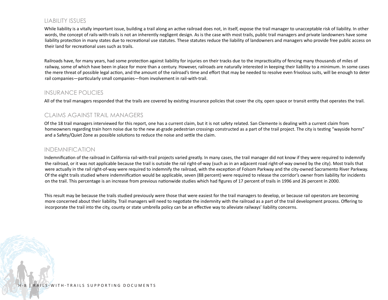#### LIABILITY ISSUES

While liability is a vitally important issue, building a trail along an active railroad does not, in itself, expose the trail manager to unacceptable risk of liability. In other words, the concept of rails-with-trails is not an inherently negligent design. As is the case with most trails, public trail managers and private landowners have some liability protection in many states due to recreational use statutes. These statutes reduce the liability of landowners and managers who provide free public access on their land for recreational uses such as trails.

Railroads have, for many years, had some protection against liability for injuries on their tracks due to the impracticality of fencing many thousands of miles of railway, some of which have been in place for more than a century. However, railroads are naturally interested in keeping their liability to a minimum. In some cases the mere threat of possible legal action, and the amount of the railroad's time and effort that may be needed to resolve even frivolous suits, will be enough to deter rail companies—particularly small companies—from involvement in rail-with-trail.

#### INSURANCE POLICIES

All of the trail managers responded that the trails are covered by existing insurance policies that cover the city, open space or transit entity that operates the trail.

#### CLAIMS AGAINST TRAIL MANAGERS

Of the 18 trail managers interviewed for this report, one has a current claim, but it is not safety related. San Clemente is dealing with a current claim from homeowners regarding train horn noise due to the new at-grade pedestrian crossings constructed as a part of the trail project. The city is testing "wayside horns" and a Safety/Quiet Zone as possible solutions to reduce the noise and settle the claim.

#### INDEMNIFICATION

Indemnification of the railroad in California rail-with-trail projects varied greatly. In many cases, the trail manager did not know if they were required to indemnify the railroad, or it was not applicable because the trail is outside the rail right-of-way (such as in an adjacent road right-of-way owned by the city). Most trails that were actually in the rail right-of-way were required to indemnify the railroad, with the exception of Folsom Parkway and the city-owned Sacramento River Parkway. Of the eight trails studied where indemnification would be applicable, seven (88 percent) were required to release the corridor's owner from liability for incidents on the trail. This percentage is an increase from previous nationwide studies which had figures of 17 percent of trails in 1996 and 26 percent in 2000.

This result may be because the trails studied previously were those that were easiest for the trail managers to develop, or because rail operators are becoming more concerned about their liability. Trail managers will need to negotiate the indemnity with the railroad as a part of the trail development process. Offering to incorporate the trail into the city, county or state umbrella policy can be an effective way to alleviate railways' liability concerns.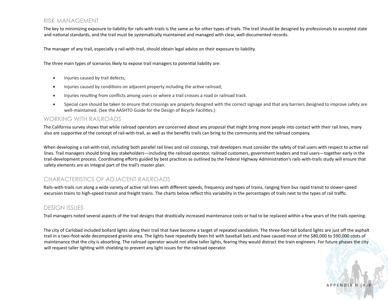#### RISK MANAGEMENT

The key to minimizing exposure to liability for rails-with-trails is the same as for other types of trails. The trail should be designed by professionals to accepted state and national standards, and the trail must be systematically maintained and managed with clear, well-documented records.

The manager of any trail, especially a rail-with-trail, should obtain legal advice on their exposure to liability.

The three main types of scenarios likely to expose trail managers to potential liability are:

- Injuries caused by trail defects;
- Injuries caused by conditions on adjacent property including the active railroad;
- • Injuries resulting from conflicts among users or where a trail crosses a road or railroad track.
- • Special care should be taken to ensure that crossings are properly designed with the correct signage and that any barriers designed to improve safety are well-maintained. (See the AASHTO Guide for the Design of Bicycle Facilities.)

#### WORKING WITH RAILROADS

The California survey shows that while railroad operators are concerned about any proposal that might bring more people into contact with their rail lines, many also are supportive of the concept of rail-with-trail, as well as the benefits trails can bring to the community and the railroad company.

When developing a rail-with-trail, including both parallel rail lines and rail crossings, trail developers must consider the safety of trail users with respect to active rail lines. Trail managers should bring key stakeholders—including the railroad operator, railroad customers, government leaders and trail users—together early in the trail-development process. Coordinating efforts guided by best practices as outlined by the Federal Highway Administration's rails-with-trails study will ensure that safety elements are an integral part of the trail's master plan.

#### CHARACTERISTICS OF ADJACENT RAILROADS

Rails-with-trails run along a wide variety of active rail lines with different speeds, frequency and types of trains, ranging from bus rapid transit to slower-speed excursion trains to high-speed transit and freight trains. The charts below reflect this variability in the percentages of trails next to the types of rail traffic.

#### DESIGN ISSUES

Trail managers noted several aspects of the trail designs that drastically increased maintenance costs or had to be replaced within a few years of the trails opening.

The city of Carlsbad included bollard lights along their trail that have become a target of repeated vandalism. The three-foot-tall bollard lights are just off the asphalt trail in a two–foot-wide decomposed granite area. The lights have repeatedly been hit with baseball bats and have caused most of the \$80,000 to \$90,000 costs of maintenance that the city is absorbing. The railroad operator would not allow taller lights, fearing they would distract the train engineers. For future phases the city will request taller lighting with shielding to prevent any light issues for the railroad operator.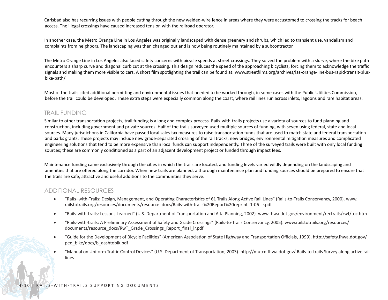Carlsbad also has recurring issues with people cutting through the new welded-wire fence in areas where they were accustomed to crossing the tracks for beach access. The illegal crossings have caused increased tension with the railroad operator.

In another case, the Metro Orange Line in Los Angeles was originally landscaped with dense greenery and shrubs, which led to transient use, vandalism and complaints from neighbors. The landscaping was then changed out and is now being routinely maintained by a subcontractor.

The Metro Orange Line in Los Angeles also faced safety concerns with bicycle speeds at street crossings. They solved the problem with a slurve, where the bike path encounters a sharp curve and diagonal curb cut at the crossing. This design reduces the speed of the approaching bicyclists, forcing them to acknowledge the traffic signals and making them more visible to cars. A short film spotlighting the trail can be found at: www.streetfilms.org/archives/las-orange-line-bus-rapid-transit-plusbike-path/

Most of the trails cited additional permitting and environmental issues that needed to be worked through, in some cases with the Public Utilities Commission, before the trail could be developed. These extra steps were especially common along the coast, where rail lines run across inlets, lagoons and rare habitat areas.

#### TRAIL FUNDING

Similar to other transportation projects, trail funding is a long and complex process. Rails-with-trails projects use a variety of sources to fund planning and construction, including government and private sources. Half of the trails surveyed used multiple sources of funding, with seven using federal, state and local sources. Many jurisdictions in California have passed local sales tax measures to raise transportation funds that are used to match state and federal transportation and parks grants. These projects may include new grade-separated crossing of the rail tracks, new bridges, environmental mitigation measures and complicated engineering solutions that tend to be more expensive than local funds can support independently. Three of the surveyed trails were built with only local funding sources; these are commonly conditioned as a part of an adjacent development project or funded through impact fees.

Maintenance funding came exclusively through the cities in which the trails are located, and funding levels varied wildly depending on the landscaping and amenities that are offered along the corridor. When new trails are planned, a thorough maintenance plan and funding sources should be prepared to ensure that the trails are safe, attractive and useful additions to the communities they serve.

#### ADDITIONAL RESOURCES

- • "Rails–with-Trails: Design, Management, and Operating Characteristics of 61 Trails Along Active Rail Lines" (Rails-to-Trails Conservancy, 2000). www. railstotrails.org/resources/documents/resource\_docs/Rails-with-trails%20Report%20reprint\_1-06\_lr.pdf
- • "Rails-with-trails: Lessons Learned" (U.S. Department of Transportation and Alta Planning, 2002). www.fhwa.dot.gov/environment/rectrails/rwt/toc.htm
- • "Rails-with-trails: A Preliminary Assessment of Safety and Grade Crossings" (Rails-to-Trails Conservancy, 2005). www.railstotrails.org/resources/ documents/resource\_docs/RwT\_Grade\_Crossings\_Report\_final\_lr.pdf
- • "Guide for the Development of Bicycle Facilities" (American Association of State Highway and Transportation Officials, 1999). http://safety.fhwa.dot.gov/ ped\_bike/docs/b\_aashtobik.pdf
- • "Manual on Uniform Traffic Control Devices" (U.S. Department of Transportation, 2003). http://mutcd.fhwa.dot.gov/ Rails-to-trails Survey along active rail lines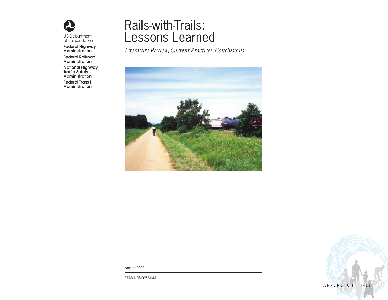

U.S. Department of Transportation

Federal Highway Administration

Federal Railroad Administration

National Highway Traffic Safety Administration

Federal Transit Administration

### Rails-with-Trails: Lessons Learned

*Literature Review, Current Practices, Conclusions* 



APPENDIX H | H-11

*August* 2002

FTA-MA-26-0052-04-1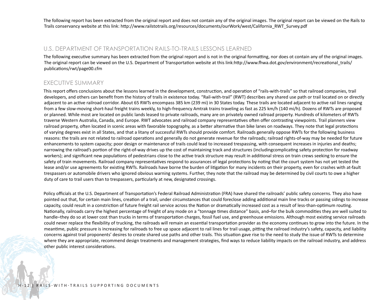The following report has been extracted from the original report and does not contain any of the original images. The original report can be viewed on the Rails to Trails conservancy website at this link: http://www.railstotrails.org/resources/documents/ourWork/west/California\_RWT\_Survey.pdf

#### U.S. DEPARTMENT OF TRANSPORTATION RAILS-TO-TRAILS LESSONS LEARNED

The following executive summary has been extracted from the original report and is not in the original formatting, nor does ot contain any of the original images. The original report can be viewed on the U.S. Department of Transportation website at this link:http://www.fhwa.dot.gov/environment/recreational\_trails/ publications/rwt/page00.cfm

#### EXECUTIVE SUMMARY

This report offers conclusions about the lessons learned in the development, construction, and operation of "rails-with-trails" so that railroad companies, trail developers, and others can benefit from the history of trails in existence today. "Rail-with-trail" (RWT) describes any shared use path or trail located on or directly adjacent to an active railroad corridor. About 65 RWTs encompass 385 km (239 mi) in 30 States today. These trails are located adjacent to active rail lines ranging from a few slow-moving short-haul freight trains weekly, to high-frequency Amtrak trains traveling as fast as 225 km/h (140 mi/h). Dozens of RWTs are proposed or planned. While most are located on public lands leased to private railroads, many are on privately owned railroad property. Hundreds of kilometers of RWTs traverse Western Australia, Canada, and Europe. RWT advocates and railroad company representatives often offer contrasting viewpoints. Trail planners view railroad property, often located in scenic areas with favorable topography, as a better alternative than bike lanes on roadways. They note that legal protections of varying degrees exist in all States, and that a litany of successful RWTs should provide comfort. Railroads generally oppose RWTs for the following business reasons: the trails are not related to railroad operations and generally do not generate revenue for the railroads; railroad rights-of-way may be needed for future enhancements to system capacity; poor design or maintenance of trails could lead to increased trespassing, with consequent increases in injuries and deaths; narrowing the railroad's portion of the right-of-way drives up the cost of maintaining track and structures (includingcomplicating safety protection for roadway workers); and significant new populations of pedestrians close to the active track structure may result in additional stress on train crews seeking to ensure the safety of train movements. Railroad company representatives respond to assurances of legal protections by noting that the court system has not yet tested the lease and/or use agreements for existing RWTs. Railroads have borne the burden of litigation for many incidents on their property, even for crashes with at-fault trespassers or automobile drivers who ignored obvious warning systems. Further, they note that the railroad may be determined by civil courts to owe a higher duty of care to trail users than to trespassers, particularly at new, designated crossings.

Policy officials at the U.S. Department of Transportation's Federal Railroad Administration (FRA) have shared the railroads' public safety concerns. They also have pointed out that, for certain main lines, creation of a trail, under circumstances that could foreclose adding additional main line tracks or passing sidings to increase capacity, could result in a constriction of future freight rail service across the Nation or dramatically increased cost as a result of less-than-optimum routing. Nationally, railroads carry the highest percentage of freight of any mode on a "tonnage times distance" basis, and–for the bulk commodities they are well suited to handle–they do so at lower cost than trucks in terms of transportation charges, fossil fuel use, and greenhouse emissions. Although most existing service railroads could never replace the flexibility of trucking, the railroads will remain an essential transportation provider as the economy continues to grow into the future. In the meantime, public pressure is increasing for railroads to free up space adjacent to rail lines for trail usage, pitting the railroad industry's safety, capacity, and liability concerns against trail proponents' desires to create shared use paths and other trails. This situation gave rise to the need to study the issue of RWTs to determine where they are appropriate, recommend design treatments and management strategies, find ways to reduce liability impacts on the railroad industry, and address other public interest considerations.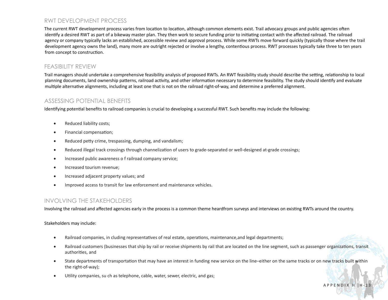#### RWT DEVELOPMENT PROCESS

The current RWT development process varies from location to location, although common elements exist. Trail advocacy groups and public agencies often identify a desired RWT as part of a bikeway master plan. They then work to secure funding prior to initiating contact with the affected railroad. The railroad agency or company typically lacks an established, accessible review and approval process. While some RWTs move forward quickly (typically those where the trail development agency owns the land), many more are outright rejected or involve a lengthy, contentious process. RWT processes typically take three to ten years from concept to construction.

#### FEASIBILITY REVIEW

Trail managers should undertake a comprehensive feasibility analysis of proposed RWTs. An RWT feasibility study should describe the setting, relationship to local planning documents, land ownership patterns, railroad activity, and other information necessary to determine feasibility. The study should identify and evaluate multiple alternative alignments, including at least one that is not on the railroad right-of-way, and determine a preferred alignment.

#### ASSESSING POTENTIAL BENEFITS

Identifying potential benefits to railroad companies is crucial to developing a successful RWT. Such benefits may include the following:

- Reduced liability costs;
- Financial compensation;
- Reduced petty crime, trespassing, dumping, and vandalism;
- Reduced illegal track crossings through channelization of users to grade-separated or well-designed at-grade crossings;
- Increased public awareness o f railroad company service;
- Increased tourism revenue;
- Increased adjacent property values; and
- Improved access to transit for law enforcement and maintenance vehicles.

#### INVOLVING THE STAKEHOLDERS

Involving the railroad and affected agencies early in the process is a common theme heardfrom surveys and interviews on existing RWTs around the country.

Stakeholders may include:

- • Railroad companies, in cluding representatives of real estate, operations, maintenance,and legal departments;
- • Railroad customers (businesses that ship by rail or receive shipments by rail that are located on the line segment, such as passenger organizations, transit authorities, and
- State departments of transportation that may have an interest in funding new service on the line–either on the same tracks or on new tracks built within the right-of-way);
- • Utility companies, su ch as telephone, cable, water, sewer, electric, and gas;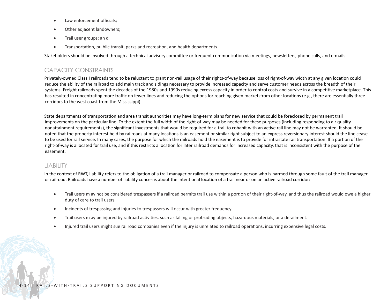- Law enforcement officials;
- Other adjacent landowners;
- Trail user groups; an d
- • Transportation, pu blic transit, parks and recreation, and health departments.

Stakeholders should be involved through a technical advisory committee or frequent communication via meetings, newsletters, phone calls, and e-mails.

#### CAPACITY CONSTRAINTS

Privately-owned Class I railroads tend to be reluctant to grant non-rail usage of their rights-of-way because loss of right-of-way width at any given location could reduce the ability of the railroad to add main track and sidings necessary to provide increased capacity and serve customer needs across the breadth of their systems. Freight railroads spent the decades of the 1980s and 1990s reducing excess capacity in order to control costs and survive in a competitive marketplace. This has resulted in concentrating more traffic on fewer lines and reducing the options for reaching given marketsfrom other locations (e.g., there are essentially three corridors to the west coast from the Mississippi).

State departments of transportation and area transit authorities may have long-term plans for new service that could be foreclosed by permanent trail improvements on the particular line. To the extent the full width of the right-of-way may be needed for these purposes (including responding to air quality nonattainment requirements), the significant investments that would be required for a trail to cohabit with an active rail line may not be warranted. It should be noted that the property interest held by railroads at many locations is an easement or similar right subject to an express reversionary interest should the line cease to be used for rail service. In many cases, the purpose for which the railroads hold the easement is to provide for intrastate rail transportation. If a portion of the right-of-way is allocated for trail use, and if this restricts allocation for later railroad demands for increased capacity, that is inconsistent with the purpose of the easement.

#### LIABILITY

In the context of RWT, liability refers to the obligation of a trail manager or railroad to compensate a person who is harmed through some fault of the trail manager or railroad. Railroads have a number of liability concerns about the intentional location of a trail near or on an active railroad corridor:

- Trail users m ay not be considered trespassers if a railroad permits trail use within a portion of their right-of-way, and thus the railroad would owe a higher duty of care to trail users.
- Incidents of trespassing and injuries to trespassers will occur with greater frequency.
- • Trail users m ay be injured by railroad activities, such as falling or protruding objects, hazardous materials, or a derailment.
- • Injured trail users might sue railroad companies even if the injury is unrelated to railroad operations, incurring expensive legal costs.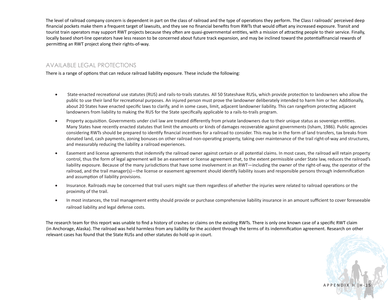The level of railroad company concern is dependent in part on the class of railroad and the type of operations they perform. The Class I railroads' perceived deep financial pockets make them a frequent target of lawsuits, and they see no financial benefits from RWTs that would offset any increased exposure. Transit and tourist train operators may support RWT projects because they often are quasi-governmental entities, with a mission of attracting people to their service. Finally, locally based short-line operators have less reason to be concerned about future track expansion, and may be inclined toward the potentialfinancial rewards of permitting an RWT project along their rights-of-way.

#### AVAILABLE LEGAL PROTECTIONS

There is a range of options that can reduce railroad liability exposure. These include the following:

- • State-enacted recreational use statutes (RUS) and rails-to-trails statutes. All 50 Stateshave RUSs, which provide protection to landowners who allow the public to use their land for recreational purposes. An injured person must prove the landowner deliberately intended to harm him or her. Additionally, about 20 States have enacted specific laws to clarify, and in some cases, limit, adjacent landowner liability. This can rangefrom protecting adjacent landowners from liability to making the RUS for the State specifically applicable to a rails-to-trails program.
- Property acquisition. Governments under civil law are treated differently from private landowners due to their unique status as sovereign entities. Many States have recently enacted statutes that limit the amounts or kinds of damages recoverable against governments (Isham, 1986). Public agencies considering RWTs should be prepared to identify financial incentives for a railroad to consider. This may be in the form of land transfers, tax breaks from donated land, cash payments, zoning bonuses on other railroad non-operating property, taking over maintenance of the trail right-of-way and structures, and measurably reducing the liability a railroad experiences.
- • Easement and license agreements that indemnify the railroad owner against certain or all potential claims. In most cases, the railroad will retain property control, thus the form of legal agreement will be an easement or license agreement that, to the extent permissible under State law, reduces the railroad's liability exposure. Because of the many jurisdictions that have some involvement in an RWT—including the owner of the right-of-way, the operator of the railroad, and the trail manager(s)—the license or easement agreement should identify liability issues and responsible persons through indemnification and assumption of liability provisions.
- Insurance. Railroads may be concerned that trail users might sue them regardless of whether the injuries were related to railroad operations or the proximity of the trail.
- In most instances, the trail management entity should provide or purchase comprehensive liability insurance in an amount sufficient to cover foreseeable railroad liability and legal defense costs.

The research team for this report was unable to find a history of crashes or claims on the existing RWTs. There is only one known case of a specific RWT claim (in Anchorage, Alaska). The railroad was held harmless from any liability for the accident through the terms of its indemnification agreement. Research on other relevant cases has found that the State RUSs and other statutes do hold up in court.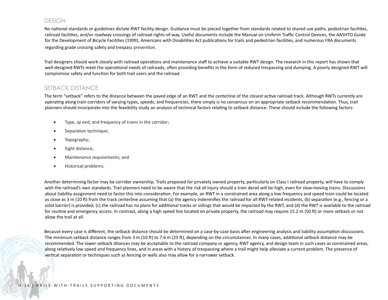#### DESIGN

No national standards or guidelines dictate RWT facility design. Guidance must be pieced together from standards related to shared use paths, pedestrian facilities, railroad facilities, and/or roadway crossings of railroad rights-of-way. Useful documents include the Manual on Uniform Traffic Control Devices, the AASHTO Guide for the Development of Bicycle Facilities (1999), Americans with Disabilities Act publications for trails and pedestrian facilities, and numerous FRA documents regarding grade crossing safety and trespass prevention.

Trail designers should work closely with railroad operations and maintenance staff to achieve a suitable RWT design. The research in this report has shown that well-designed RWTs meet the operational needs of railroads, often providing benefits in the form of reduced trespassing and dumping. A poorly designed RWT will compromise safety and function for both trail users and the railroad.

#### SETBACK DISTANCE

The term "setback" refers to the distance between the paved edge of an RWT and the centerline of the closest active railroad track. Although RWTs currently are operating along train corridors of varying types, speeds, and frequencies, there simply is no consensus on an appropriate setback recommendation. Thus, trail planners should incorporate into the feasibility study an analysis of technical factors relating to setback distance. These should include the following factors:

- • Type, sp eed, and frequency of trains in the corridor;
- Separation technique;
- Topography;
- Sight distance;
- Maintenance requirements; and
- • Historical problems.

Another determining factor may be corridor ownership. Trails proposed for privately owned property, particularly on Class I railroad property, will have to comply with the railroad's own standards. Trail planners need to be aware that the risk of injury should a train derail will be high, even for slow-moving trains. Discussions about liability assignment need to factor this into consideration. For example, an RWT in a constrained area along a low frequency and speed train could be located as close as 3 m (10 ft) from the track centerline assuming that (a) the agency indemnifies the railroad for all RWT-related incidents, (b) separation (e.g., fencing or a solid barrier) is provided, (c) the railroad has no plans for additional tracks or sidings that would be impacted by the RWT, and (d) the RWT is available to the railroad for routine and emergency access. In contrast, along a high speed line located on private property, the railroad may require 15.2 m (50 ft) or more setback or not allow the trail at all.

Because every case is different, the setback distance should be determined on a case-by-case basis after engineering analysis and liability assumption discussions. The minimum setback distance ranges from 3 m (10 ft) to 7.6 m (25 ft), depending on the circumstances. In many cases, additional setback distance may be recommended. The lower setback ditances may be acceptable to the railroad company or agency, RWT agency, and design team in such cases as constrained areas, along relatively low speed and frequency lines, and in areas with a history of trespassing where a trail might help alleviate a current problem. The presence of vertical separation or techniques such as fencing or walls also may allow for a narrower setback.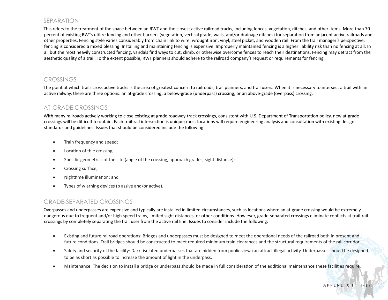#### SEPARATION

This refers to the treatment of the space between an RWT and the closest active railroad tracks, including fences, vegetation, ditches, and other items. More than 70 percent of existing RWTs utilize fencing and other barriers (vegetation, vertical grade, walls, and/or drainage ditches) for separation from adjacent active railroads and other properties. Fencing style varies considerably from chain link to wire, wrought iron, vinyl, steel picket, and wooden rail. From the trail manager's perspective, fencing is considered a mixed blessing. Installing and maintaining fencing is expensive. Improperly maintained fencing is a higher liability risk than no fencing at all. In all but the most heavily constructed fencing, vandals find ways to cut, climb, or otherwise overcome fences to reach their destinations. Fencing may detract from the aesthetic quality of a trail. To the extent possible, RWT planners should adhere to the railroad company's request or requirements for fencing.

#### **CROSSINGS**

The point at which trails cross active tracks is the area of greatest concern to railroads, trail planners, and trail users. When it is necessary to intersect a trail with an active railway, there are three options: an at-grade crossing, a below-grade (underpass) crossing, or an above-grade (overpass) crossing.

#### AT-GRADE CROSSINGS

With many railroads actively working to close existing at-grade roadway-track crossings, consistent with U.S. Department of Transportation policy, new at-grade crossings will be difficult to obtain. Each trail-rail intersection is unique; most locations will require engineering analysis and consultation with existing design standards and guidelines. Issues that should be considered include the following:

- Train frequency and speed;
- Location of the crossing;
- Specific geometrics of the site (angle of the crossing, approach grades, sight distance);
- Crossing surface;
- • Nighttime illumination; and
- • Types of w arning devices (p assive and/or active).

#### GRADE-SEPARATED CROSSINGS

Overpasses and underpasses are expensive and typically are installed in limited circumstances, such as locations where an at-grade crossing would be extremely dangerous due to frequent and/or high speed trains, limited sight distances, or other conditions. How ever, grade-separated crossings eliminate conflicts at trail-rail crossings by completely separating the trail user from the active rail line. Issues to consider include the following:

- • Existing and future railroad operations: Bridges and underpasses must be designed to meet the operational needs of the railroad both in present and future conditions. Trail bridges should be constructed to meet required minimum train clearances and the structural requirements of the rail corridor.
- Safety and security of the facility: Dark, isolated underpasses that are hidden from public view can attract illegal activity. Underpasses should be designed to be as short as possible to increase the amount of light in the underpass.
- • Maintenance: The decision to install a bridge or underpass should be made in full consideration of the additional maintenance these facilities require.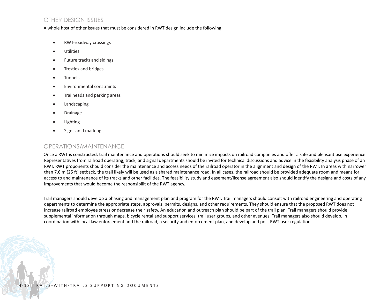#### OTHER DESIGN ISSUES

#### A whole host of other issues that must be considered in RWT design include the following:

- RWT-roadway crossings
- • Utilities
- • Future tracks and sidings
- Trestles and bridges
- **Tunnels**
- • Environmental constraints
- Trailheads and parking areas
- • Landscaping
- **Drainage**
- **Lighting**
- • Signs an d marking

#### OPERATIONS/MAINTENANCE

Once a RWT is constructed, trail maintenance and operations should seek to minimize impacts on railroad companies and offer a safe and pleasant use experience Representatives from railroad operating, track, and signal departments should be invited for technical discussions and advice in the feasibility analysis phase of an RWT. RWT proponents should consider the maintenance and access needs of the railroad operator in the alignment and design of the RWT. In areas with narrower than 7.6 m (25 ft) setback, the trail likely will be used as a shared maintenance road. In all cases, the railroad should be provided adequate room and means for access to and maintenance of its tracks and other facilities. The feasibility study and easement/license agreement also should identify the designs and costs of any improvements that would become the responsibilit of the RWT agency.

Trail managers should develop a phasing and management plan and program for the RWT. Trail managers should consult with railroad engineering and operating departments to determine the appropriate steps, approvals, permits, designs, and other requirements. They should ensure that the proposed RWT does not increase railroad employee stress or decrease their safety. An education and outreach plan should be part of the trail plan. Trail managers should provide supplemental information through maps, bicycle rental and support services, trail user groups, and other avenues. Trail managers also should develop, in coordination with local law enforcement and the railroad, a security and enforcement plan, and develop and post RWT user regulations.